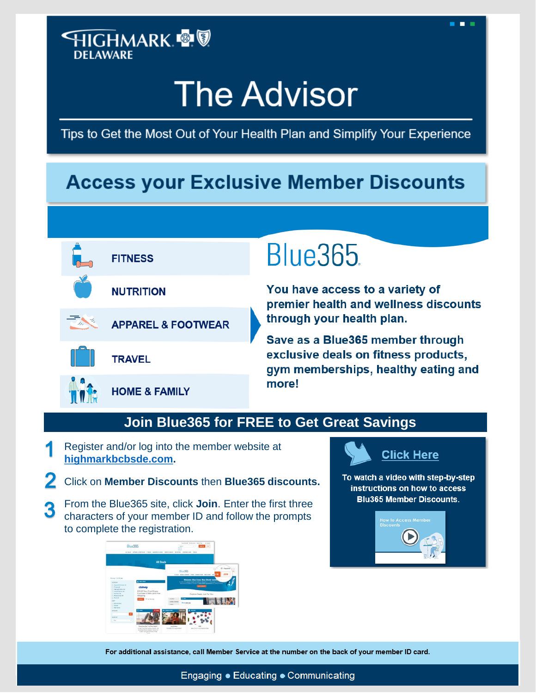### **HIGHMARK ®® DELAWARE**

# **The Advisor**

Tips to Get the Most Out of Your Health Plan and Simplify Your Experience

## **Access your Exclusive Member Discounts**



## **Blue365**

You have access to a variety of premier health and wellness discounts through your health plan.

н

Save as a Blue365 member through<br>exclusive deals on fitness products, gym memberships, healthy eating and more!

#### **Join Blue365 for FREE to Get Great Savings**

- Register and/or log into the member website at **[highmarkbcbsde.com.](http://www.highmarkbcbsde.com/)**
- Click on **Member Discounts** then **Blue365 discounts.**
- From the Blue365 site, click **Join**. Enter the first three 3 characters of your member ID and follow the prompts to complete the registration.



## **Click Here**

To watch a video with step-by-step instructions on how to access **Blu365 Member Discounts.** 



For additional assistance, call Member Service at the number on the back of your member ID card.